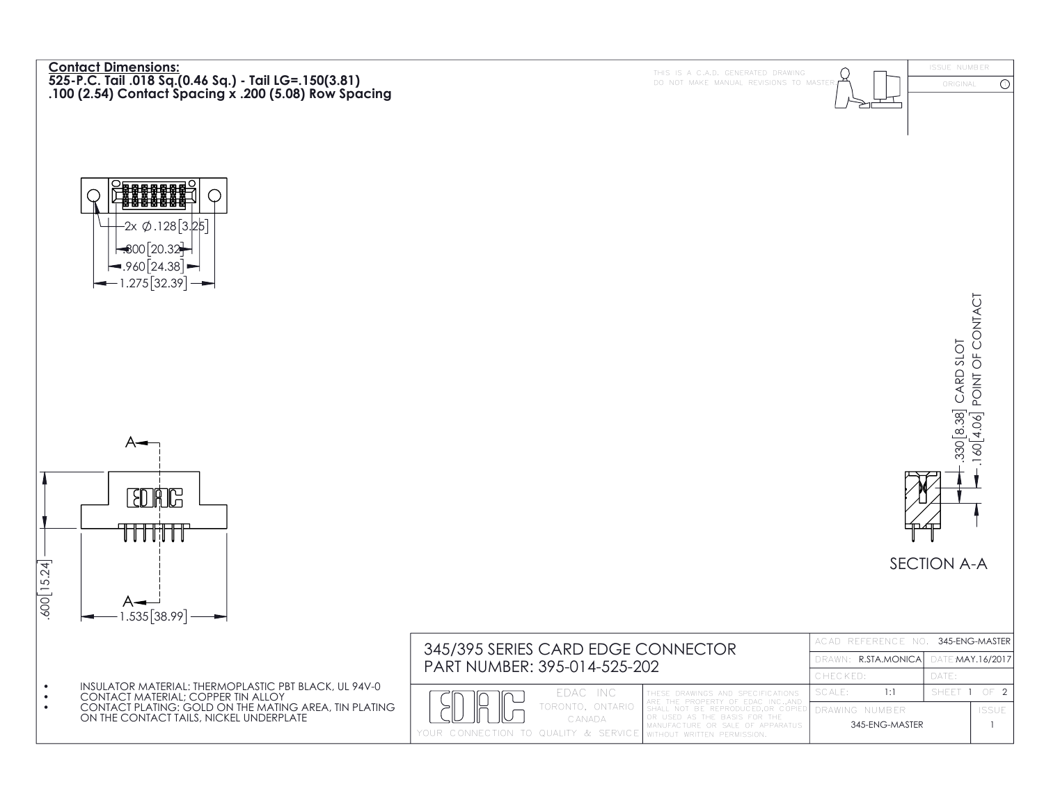